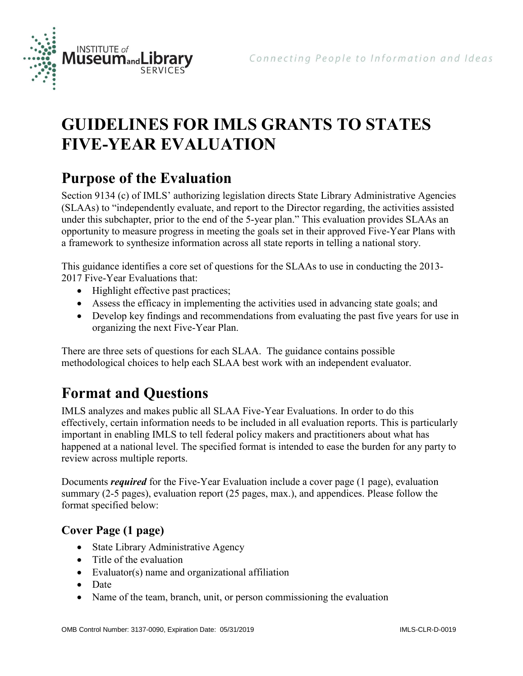

# **GUIDELINES FOR IMLS GRANTS TO STATES FIVE-YEAR EVALUATION**

# **Purpose of the Evaluation**

Section 9134 (c) of IMLS' authorizing legislation directs State Library Administrative Agencies (SLAAs) to "independently evaluate, and report to the Director regarding, the activities assisted under this subchapter, prior to the end of the 5-year plan." This evaluation provides SLAAs an opportunity to measure progress in meeting the goals set in their approved Five-Year Plans with a framework to synthesize information across all state reports in telling a national story.

This guidance identifies a core set of questions for the SLAAs to use in conducting the 2013- 2017 Five-Year Evaluations that:

- Highlight effective past practices;
- Assess the efficacy in implementing the activities used in advancing state goals; and
- Develop key findings and recommendations from evaluating the past five years for use in organizing the next Five-Year Plan.

There are three sets of questions for each SLAA. The guidance contains possible methodological choices to help each SLAA best work with an independent evaluator.

# **Format and Questions**

IMLS analyzes and makes public all SLAA Five-Year Evaluations. In order to do this effectively, certain information needs to be included in all evaluation reports. This is particularly important in enabling IMLS to tell federal policy makers and practitioners about what has happened at a national level. The specified format is intended to ease the burden for any party to review across multiple reports.

Documents *required* for the Five-Year Evaluation include a cover page (1 page), evaluation summary (2-5 pages), evaluation report (25 pages, max.), and appendices. Please follow the format specified below:

## **Cover Page (1 page)**

- State Library Administrative Agency
- Title of the evaluation
- Evaluator(s) name and organizational affiliation
- Date
- Name of the team, branch, unit, or person commissioning the evaluation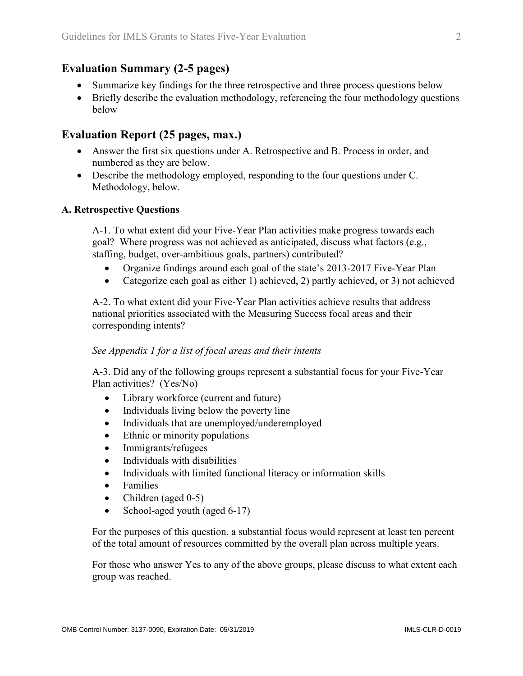### **Evaluation Summary (2-5 pages)**

- Summarize key findings for the three retrospective and three process questions below
- Briefly describe the evaluation methodology, referencing the four methodology questions below

### **Evaluation Report (25 pages, max.)**

- Answer the first six questions under A. Retrospective and B. Process in order, and numbered as they are below.
- Describe the methodology employed, responding to the four questions under C. Methodology, below.

#### **A. Retrospective Questions**

A-1. To what extent did your Five-Year Plan activities make progress towards each goal? Where progress was not achieved as anticipated, discuss what factors (e.g., staffing, budget, over-ambitious goals, partners) contributed?

- Organize findings around each goal of the state's 2013-2017 Five-Year Plan
- Categorize each goal as either 1) achieved, 2) partly achieved, or 3) not achieved

A-2. To what extent did your Five-Year Plan activities achieve results that address national priorities associated with the Measuring Success focal areas and their corresponding intents?

#### *See Appendix 1 for a list of focal areas and their intents*

A-3. Did any of the following groups represent a substantial focus for your Five-Year Plan activities? (Yes/No)

- Library workforce (current and future)
- Individuals living below the poverty line
- Individuals that are unemployed/underemployed
- Ethnic or minority populations
- Immigrants/refugees
- Individuals with disabilities
- Individuals with limited functional literacy or information skills
- Families
- $\bullet$  Children (aged 0-5)
- School-aged youth (aged 6-17)

For the purposes of this question, a substantial focus would represent at least ten percent of the total amount of resources committed by the overall plan across multiple years.

For those who answer Yes to any of the above groups, please discuss to what extent each group was reached.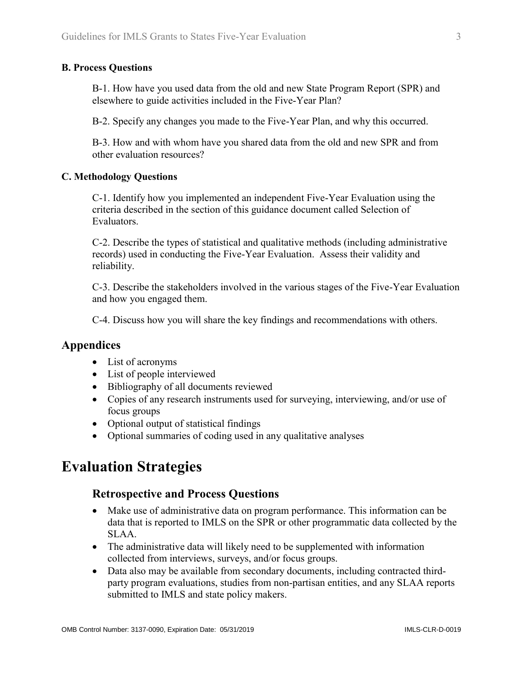#### **B. Process Questions**

B-1. How have you used data from the old and new State Program Report (SPR) and elsewhere to guide activities included in the Five-Year Plan?

B-2. Specify any changes you made to the Five-Year Plan, and why this occurred.

B-3. How and with whom have you shared data from the old and new SPR and from other evaluation resources?

#### **C. Methodology Questions**

C-1. Identify how you implemented an independent Five-Year Evaluation using the criteria described in the section of this guidance document called Selection of **Evaluators** 

C-2. Describe the types of statistical and qualitative methods (including administrative records) used in conducting the Five-Year Evaluation. Assess their validity and reliability.

C-3. Describe the stakeholders involved in the various stages of the Five-Year Evaluation and how you engaged them.

C-4. Discuss how you will share the key findings and recommendations with others.

#### **Appendices**

- List of acronyms
- List of people interviewed
- Bibliography of all documents reviewed
- Copies of any research instruments used for surveying, interviewing, and/or use of focus groups
- Optional output of statistical findings
- Optional summaries of coding used in any qualitative analyses

## **Evaluation Strategies**

#### **Retrospective and Process Questions**

- Make use of administrative data on program performance. This information can be data that is reported to IMLS on the SPR or other programmatic data collected by the SLAA.
- The administrative data will likely need to be supplemented with information collected from interviews, surveys, and/or focus groups.
- Data also may be available from secondary documents, including contracted thirdparty program evaluations, studies from non-partisan entities, and any SLAA reports submitted to IMLS and state policy makers.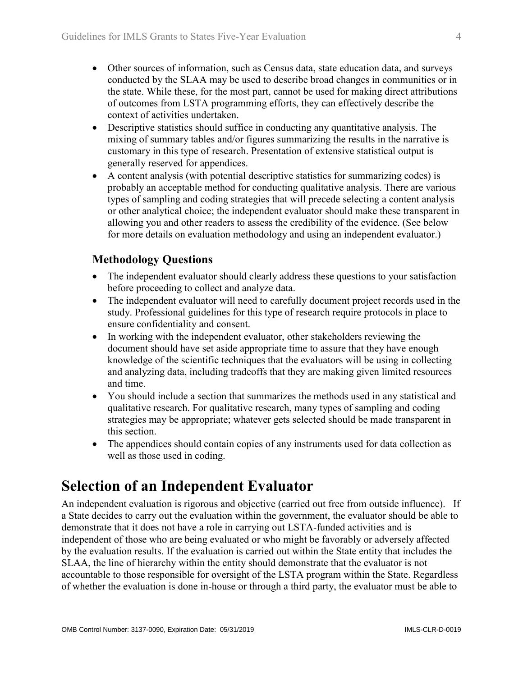- Other sources of information, such as Census data, state education data, and surveys conducted by the SLAA may be used to describe broad changes in communities or in the state. While these, for the most part, cannot be used for making direct attributions of outcomes from LSTA programming efforts, they can effectively describe the context of activities undertaken.
- Descriptive statistics should suffice in conducting any quantitative analysis. The mixing of summary tables and/or figures summarizing the results in the narrative is customary in this type of research. Presentation of extensive statistical output is generally reserved for appendices.
- A content analysis (with potential descriptive statistics for summarizing codes) is probably an acceptable method for conducting qualitative analysis. There are various types of sampling and coding strategies that will precede selecting a content analysis or other analytical choice; the independent evaluator should make these transparent in allowing you and other readers to assess the credibility of the evidence. (See below for more details on evaluation methodology and using an independent evaluator.)

## **Methodology Questions**

- The independent evaluator should clearly address these questions to your satisfaction before proceeding to collect and analyze data.
- The independent evaluator will need to carefully document project records used in the study. Professional guidelines for this type of research require protocols in place to ensure confidentiality and consent.
- In working with the independent evaluator, other stakeholders reviewing the document should have set aside appropriate time to assure that they have enough knowledge of the scientific techniques that the evaluators will be using in collecting and analyzing data, including tradeoffs that they are making given limited resources and time.
- You should include a section that summarizes the methods used in any statistical and qualitative research. For qualitative research, many types of sampling and coding strategies may be appropriate; whatever gets selected should be made transparent in this section.
- The appendices should contain copies of any instruments used for data collection as well as those used in coding.

## **Selection of an Independent Evaluator**

An independent evaluation is rigorous and objective (carried out free from outside influence). If a State decides to carry out the evaluation within the government, the evaluator should be able to demonstrate that it does not have a role in carrying out LSTA-funded activities and is independent of those who are being evaluated or who might be favorably or adversely affected by the evaluation results. If the evaluation is carried out within the State entity that includes the SLAA, the line of hierarchy within the entity should demonstrate that the evaluator is not accountable to those responsible for oversight of the LSTA program within the State. Regardless of whether the evaluation is done in-house or through a third party, the evaluator must be able to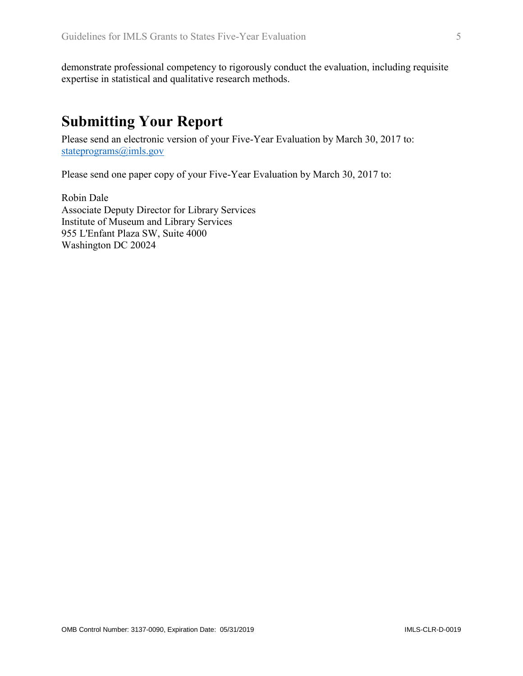demonstrate professional competency to rigorously conduct the evaluation, including requisite expertise in statistical and qualitative research methods.

## **Submitting Your Report**

Please send an electronic version of your Five-Year Evaluation by March 30, 2017 to: [stateprograms@imls.gov](mailto:stateprograms@imls.gov)

Please send one paper copy of your Five-Year Evaluation by March 30, 2017 to:

Robin Dale Associate Deputy Director for Library Services Institute of Museum and Library Services 955 L'Enfant Plaza SW, Suite 4000 Washington DC 20024